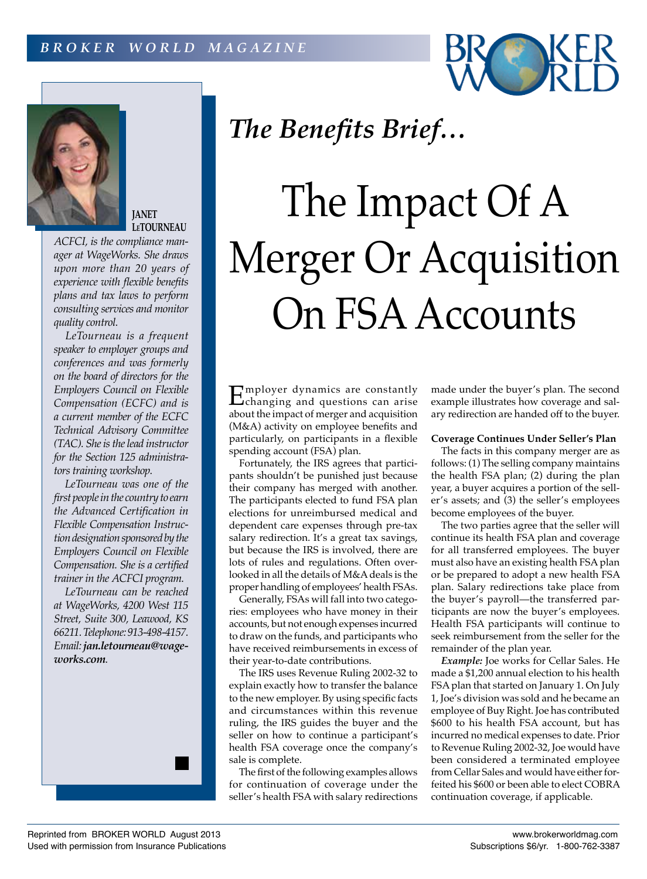



## **JANET LeTOURNEAU**

*ACFCI, is the compliance manager at WageWorks. She draws upon more than 20 years of experience with flexible benefits plans and tax laws to perform consulting services and monitor quality control.*

*LeTourneau is a frequent speaker to employer groups and conferences and was formerly on the board of directors for the Employers Council on Flexible Compensation (ECFC) and is a current member of the ECFC Technical Advisory Committee (TAC). She is the lead instructor for the Section 125 administrators training workshop.*

*LeTourneau was one of the first people in the country to earn the Advanced Certification in Flexible Compensation Instruction designation sponsored by the Employers Council on Flexible Compensation. She is a certified trainer in the ACFCI program.*

*LeTourneau can be reached at WageWorks, 4200 West 115 Street, Suite 300, Leawood, KS 66211. Telephone: 913-498-4157. Email: jan.letourneau@wageworks.com.*

# *The Benefits Brief…*

# The Impact Of A Merger Or Acquisition On FSA Accounts

Employer dynamics are constantly<br>changing and questions can arise<br>changing and questions can arise about the impact of merger and acquisition (M&A) activity on employee benefits and particularly, on participants in a flexible spending account (FSA) plan.

Fortunately, the IRS agrees that participants shouldn't be punished just because their company has merged with another. The participants elected to fund FSA plan elections for unreimbursed medical and dependent care expenses through pre-tax salary redirection. It's a great tax savings, but because the IRS is involved, there are lots of rules and regulations. Often overlooked in all the details of M&A deals is the proper handling of employees' health FSAs.

Generally, FSAs will fall into two categories: employees who have money in their accounts, but not enough expenses incurred to draw on the funds, and participants who have received reimbursements in excess of their year-to-date contributions.

The IRS uses Revenue Ruling 2002-32 to explain exactly how to transfer the balance to the new employer. By using specific facts and circumstances within this revenue ruling, the IRS guides the buyer and the seller on how to continue a participant's health FSA coverage once the company's sale is complete.

The first of the following examples allows for continuation of coverage under the seller's health FSA with salary redirections made under the buyer's plan. The second example illustrates how coverage and salary redirection are handed off to the buyer.

### **Coverage Continues Under Seller's Plan**

The facts in this company merger are as follows: (1) The selling company maintains the health FSA plan; (2) during the plan year, a buyer acquires a portion of the seller's assets; and (3) the seller's employees become employees of the buyer.

The two parties agree that the seller will continue its health FSA plan and coverage for all transferred employees. The buyer must also have an existing health FSA plan or be prepared to adopt a new health FSA plan. Salary redirections take place from the buyer's payroll—the transferred participants are now the buyer's employees. Health FSA participants will continue to seek reimbursement from the seller for the remainder of the plan year.

*Example:* Joe works for Cellar Sales. He made a \$1,200 annual election to his health FSA plan that started on January 1. On July 1, Joe's division was sold and he became an employee of Buy Right. Joe has contributed \$600 to his health FSA account, but has incurred no medical expenses to date. Prior to Revenue Ruling 2002-32, Joe would have been considered a terminated employee from Cellar Sales and would have either forfeited his \$600 or been able to elect COBRA continuation coverage, if applicable.